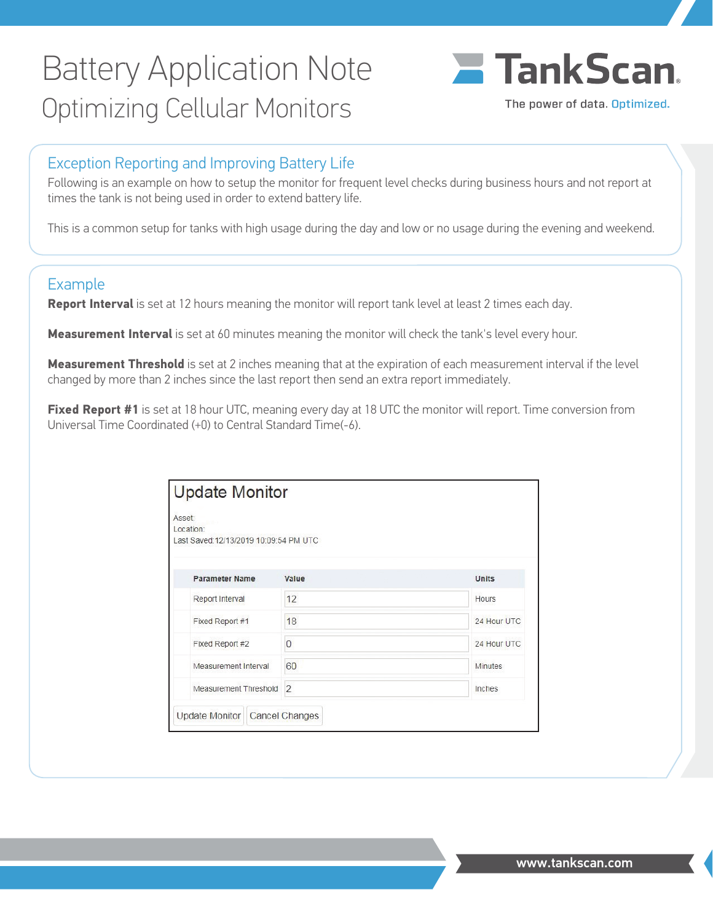## Battery Application Note Optimizing Cellular Monitors



## Exception Reporting and Improving Battery Life

Following is an example on how to setup the monitor for frequent level checks during business hours and not report at times the tank is not being used in order to extend battery life.

This is a common setup for tanks with high usage during the day and low or no usage during the evening and weekend.

### Example

**Report Interval** is set at 12 hours meaning the monitor will report tank level at least 2 times each day.

**Measurement Interval** is set at 60 minutes meaning the monitor will check the tank's level every hour.

**Measurement Threshold** is set at 2 inches meaning that at the expiration of each measurement interval if the level changed by more than 2 inches since the last report then send an extra report immediately.

**Fixed Report #1** is set at 18 hour UTC, meaning every day at 18 UTC the monitor will report. Time conversion from Universal Time Coordinated (+0) to Central Standard Time(-6).

| Asset:<br>Location:<br>Last Saved:12/13/2019 10:09:54 PM UTC |                |                |
|--------------------------------------------------------------|----------------|----------------|
| <b>Parameter Name</b>                                        | Value          | <b>Units</b>   |
| Report Interval                                              | 12             | Hours          |
| Fixed Report #1                                              | 18             | 24 Hour UTC    |
| Fixed Report #2                                              | $\mathbf{0}$   | 24 Hour UTC    |
| Measurement Interval                                         | 60             | <b>Minutes</b> |
| Measurement Threshold                                        | $\overline{2}$ | Inches         |